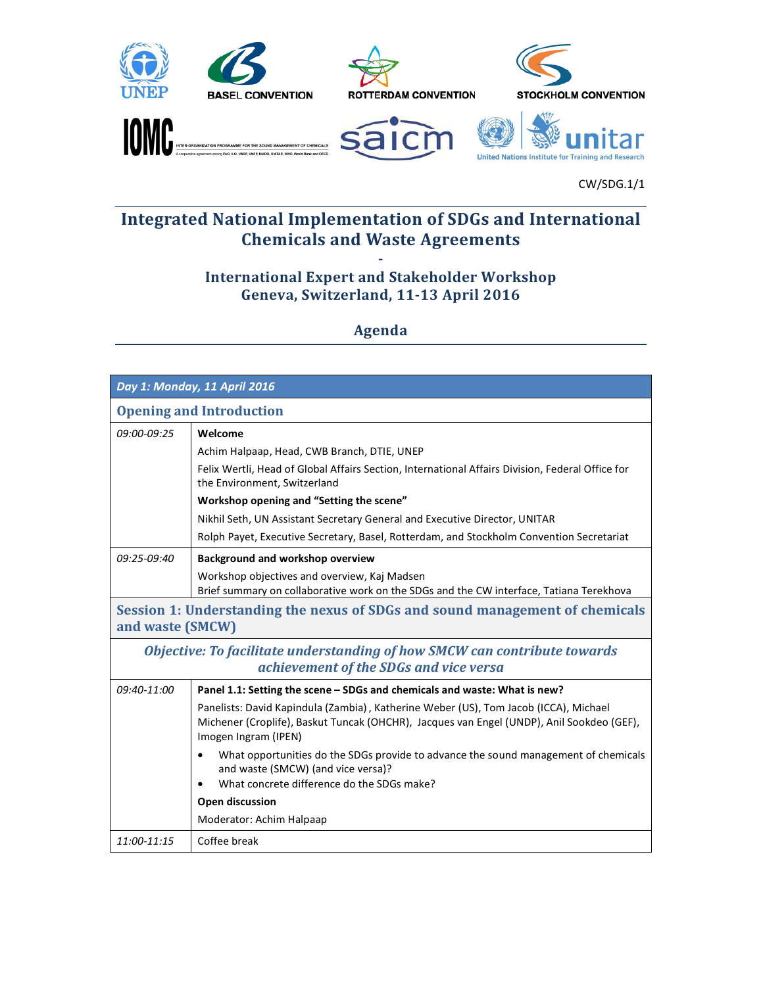











## Integrated National Implementation of SDGs and International **Chemicals and Waste Agreements**

## - International Expert and Stakeholder Workshop Geneva, Switzerland, 11-13 April 2016

Agenda

| Day 1: Monday, 11 April 2016                                                                                        |                                                                                                                                                                                                           |  |  |  |
|---------------------------------------------------------------------------------------------------------------------|-----------------------------------------------------------------------------------------------------------------------------------------------------------------------------------------------------------|--|--|--|
| <b>Opening and Introduction</b>                                                                                     |                                                                                                                                                                                                           |  |  |  |
| 09:00-09:25                                                                                                         | Welcome                                                                                                                                                                                                   |  |  |  |
|                                                                                                                     | Achim Halpaap, Head, CWB Branch, DTIE, UNEP                                                                                                                                                               |  |  |  |
|                                                                                                                     | Felix Wertli, Head of Global Affairs Section, International Affairs Division, Federal Office for<br>the Environment, Switzerland                                                                          |  |  |  |
|                                                                                                                     | Workshop opening and "Setting the scene"                                                                                                                                                                  |  |  |  |
|                                                                                                                     | Nikhil Seth, UN Assistant Secretary General and Executive Director, UNITAR                                                                                                                                |  |  |  |
|                                                                                                                     | Rolph Payet, Executive Secretary, Basel, Rotterdam, and Stockholm Convention Secretariat                                                                                                                  |  |  |  |
| 09:25-09:40                                                                                                         | <b>Background and workshop overview</b>                                                                                                                                                                   |  |  |  |
|                                                                                                                     | Workshop objectives and overview, Kaj Madsen<br>Brief summary on collaborative work on the SDGs and the CW interface, Tatiana Terekhova                                                                   |  |  |  |
| and waste (SMCW)                                                                                                    | Session 1: Understanding the nexus of SDGs and sound management of chemicals                                                                                                                              |  |  |  |
| Objective: To facilitate understanding of how SMCW can contribute towards<br>achievement of the SDGs and vice versa |                                                                                                                                                                                                           |  |  |  |
| 09:40-11:00                                                                                                         | Panel 1.1: Setting the scene - SDGs and chemicals and waste: What is new?                                                                                                                                 |  |  |  |
|                                                                                                                     | Panelists: David Kapindula (Zambia), Katherine Weber (US), Tom Jacob (ICCA), Michael<br>Michener (Croplife), Baskut Tuncak (OHCHR), Jacques van Engel (UNDP), Anil Sookdeo (GEF),<br>Imogen Ingram (IPEN) |  |  |  |
|                                                                                                                     | What opportunities do the SDGs provide to advance the sound management of chemicals<br>$\bullet$<br>and waste (SMCW) (and vice versa)?<br>What concrete difference do the SDGs make?<br>$\bullet$         |  |  |  |
|                                                                                                                     | Open discussion                                                                                                                                                                                           |  |  |  |
|                                                                                                                     | Moderator: Achim Halpaap                                                                                                                                                                                  |  |  |  |
| $11:00 - 11:15$                                                                                                     | Coffee break                                                                                                                                                                                              |  |  |  |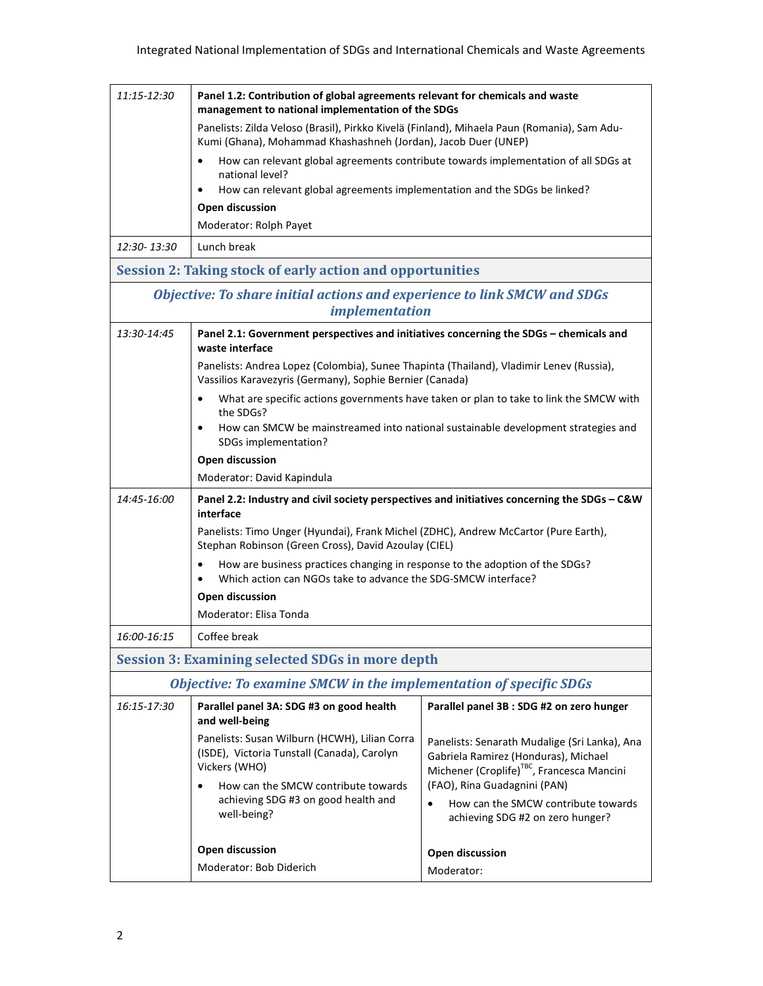| 11:15-12:30                                                                                       | Panel 1.2: Contribution of global agreements relevant for chemicals and waste<br>management to national implementation of the SDGs                                      |                                                                                                                                                                                 |  |  |  |
|---------------------------------------------------------------------------------------------------|-------------------------------------------------------------------------------------------------------------------------------------------------------------------------|---------------------------------------------------------------------------------------------------------------------------------------------------------------------------------|--|--|--|
|                                                                                                   | Panelists: Zilda Veloso (Brasil), Pirkko Kivelä (Finland), Mihaela Paun (Romania), Sam Adu-<br>Kumi (Ghana), Mohammad Khashashneh (Jordan), Jacob Duer (UNEP)           |                                                                                                                                                                                 |  |  |  |
|                                                                                                   | How can relevant global agreements contribute towards implementation of all SDGs at<br>$\bullet$                                                                        |                                                                                                                                                                                 |  |  |  |
|                                                                                                   | national level?                                                                                                                                                         |                                                                                                                                                                                 |  |  |  |
|                                                                                                   | How can relevant global agreements implementation and the SDGs be linked?<br>$\bullet$                                                                                  |                                                                                                                                                                                 |  |  |  |
|                                                                                                   | <b>Open discussion</b><br>Moderator: Rolph Payet                                                                                                                        |                                                                                                                                                                                 |  |  |  |
| 12:30-13:30                                                                                       | Lunch break                                                                                                                                                             |                                                                                                                                                                                 |  |  |  |
|                                                                                                   | <b>Session 2: Taking stock of early action and opportunities</b>                                                                                                        |                                                                                                                                                                                 |  |  |  |
| Objective: To share initial actions and experience to link SMCW and SDGs<br><i>implementation</i> |                                                                                                                                                                         |                                                                                                                                                                                 |  |  |  |
| 13:30-14:45                                                                                       | Panel 2.1: Government perspectives and initiatives concerning the SDGs - chemicals and<br>waste interface                                                               |                                                                                                                                                                                 |  |  |  |
|                                                                                                   | Panelists: Andrea Lopez (Colombia), Sunee Thapinta (Thailand), Vladimir Lenev (Russia),<br>Vassilios Karavezyris (Germany), Sophie Bernier (Canada)                     |                                                                                                                                                                                 |  |  |  |
|                                                                                                   | What are specific actions governments have taken or plan to take to link the SMCW with<br>$\bullet$<br>the SDGs?                                                        |                                                                                                                                                                                 |  |  |  |
|                                                                                                   | How can SMCW be mainstreamed into national sustainable development strategies and<br>$\bullet$<br>SDGs implementation?                                                  |                                                                                                                                                                                 |  |  |  |
|                                                                                                   | Open discussion                                                                                                                                                         |                                                                                                                                                                                 |  |  |  |
|                                                                                                   | Moderator: David Kapindula                                                                                                                                              |                                                                                                                                                                                 |  |  |  |
| 14:45-16:00                                                                                       | Panel 2.2: Industry and civil society perspectives and initiatives concerning the SDGs - C&W<br>interface                                                               |                                                                                                                                                                                 |  |  |  |
|                                                                                                   | Panelists: Timo Unger (Hyundai), Frank Michel (ZDHC), Andrew McCartor (Pure Earth),<br>Stephan Robinson (Green Cross), David Azoulay (CIEL)                             |                                                                                                                                                                                 |  |  |  |
|                                                                                                   | How are business practices changing in response to the adoption of the SDGs?<br>$\bullet$<br>Which action can NGOs take to advance the SDG-SMCW interface?<br>$\bullet$ |                                                                                                                                                                                 |  |  |  |
|                                                                                                   | <b>Open discussion</b>                                                                                                                                                  |                                                                                                                                                                                 |  |  |  |
|                                                                                                   | Moderator: Elisa Tonda                                                                                                                                                  |                                                                                                                                                                                 |  |  |  |
| 16:00-16:15                                                                                       | Coffee break                                                                                                                                                            |                                                                                                                                                                                 |  |  |  |
|                                                                                                   | <b>Session 3: Examining selected SDGs in more depth</b>                                                                                                                 |                                                                                                                                                                                 |  |  |  |
|                                                                                                   | <b>Objective: To examine SMCW in the implementation of specific SDGs</b>                                                                                                |                                                                                                                                                                                 |  |  |  |
| 16:15-17:30                                                                                       | Parallel panel 3A: SDG #3 on good health<br>and well-being                                                                                                              | Parallel panel 3B : SDG #2 on zero hunger                                                                                                                                       |  |  |  |
|                                                                                                   | Panelists: Susan Wilburn (HCWH), Lilian Corra<br>(ISDE), Victoria Tunstall (Canada), Carolyn<br>Vickers (WHO)<br>How can the SMCW contribute towards                    | Panelists: Senarath Mudalige (Sri Lanka), Ana<br>Gabriela Ramirez (Honduras), Michael<br>Michener (Croplife) <sup>TBC</sup> , Francesca Mancini<br>(FAO), Rina Guadagnini (PAN) |  |  |  |
|                                                                                                   | achieving SDG #3 on good health and<br>well-being?                                                                                                                      | How can the SMCW contribute towards<br>achieving SDG #2 on zero hunger?                                                                                                         |  |  |  |
|                                                                                                   | <b>Open discussion</b>                                                                                                                                                  | <b>Open discussion</b>                                                                                                                                                          |  |  |  |
|                                                                                                   | Moderator: Bob Diderich                                                                                                                                                 | Moderator:                                                                                                                                                                      |  |  |  |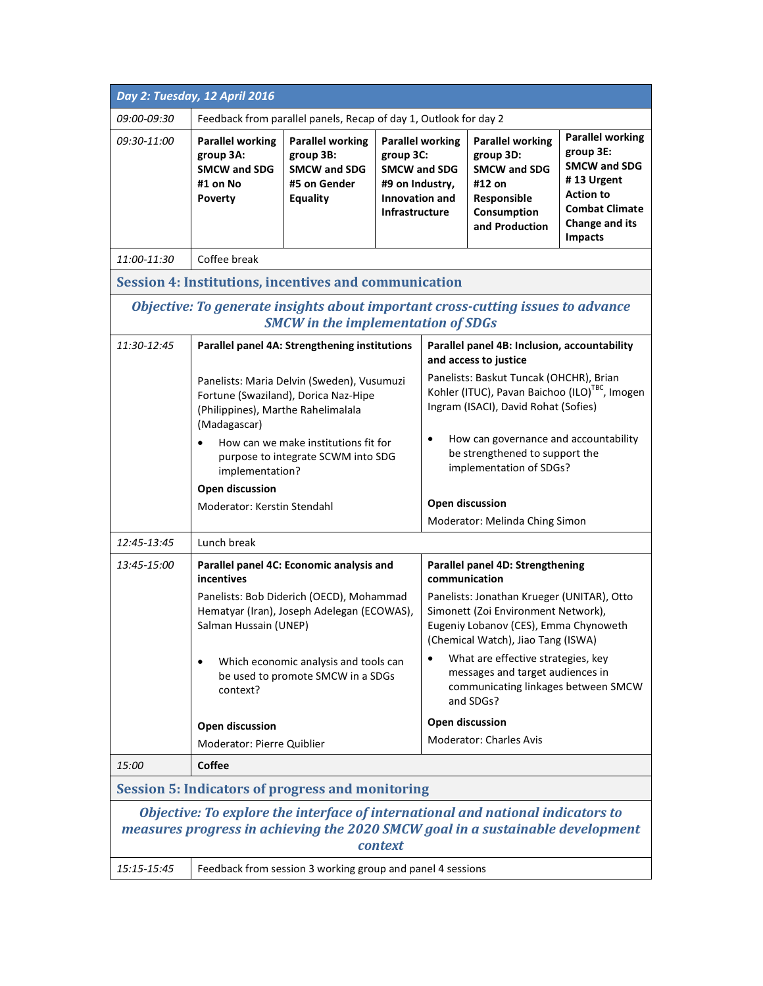|                                                                                                                                                                              | Day 2: Tuesday, 12 April 2016                                                                                                                                                                                                                                                                                                                             |                                                                                         |                                                                                                                                                                                                                                                                                                                                                                                                |                         |                                                                                                                       |                                                                                                                                                            |
|------------------------------------------------------------------------------------------------------------------------------------------------------------------------------|-----------------------------------------------------------------------------------------------------------------------------------------------------------------------------------------------------------------------------------------------------------------------------------------------------------------------------------------------------------|-----------------------------------------------------------------------------------------|------------------------------------------------------------------------------------------------------------------------------------------------------------------------------------------------------------------------------------------------------------------------------------------------------------------------------------------------------------------------------------------------|-------------------------|-----------------------------------------------------------------------------------------------------------------------|------------------------------------------------------------------------------------------------------------------------------------------------------------|
| 09:00-09:30                                                                                                                                                                  | Feedback from parallel panels, Recap of day 1, Outlook for day 2                                                                                                                                                                                                                                                                                          |                                                                                         |                                                                                                                                                                                                                                                                                                                                                                                                |                         |                                                                                                                       |                                                                                                                                                            |
| 09:30-11:00                                                                                                                                                                  | <b>Parallel working</b><br>group 3A:<br><b>SMCW and SDG</b><br>#1 on No<br><b>Poverty</b>                                                                                                                                                                                                                                                                 | <b>Parallel working</b><br>group 3B:<br><b>SMCW and SDG</b><br>#5 on Gender<br>Equality | group 3C:<br><b>SMCW and SDG</b><br>#9 on Industry,<br>Innovation and<br>Infrastructure                                                                                                                                                                                                                                                                                                        | <b>Parallel working</b> | <b>Parallel working</b><br>group 3D:<br><b>SMCW and SDG</b><br>#12 on<br>Responsible<br>Consumption<br>and Production | <b>Parallel working</b><br>group 3E:<br><b>SMCW and SDG</b><br>#13 Urgent<br><b>Action to</b><br><b>Combat Climate</b><br>Change and its<br><b>Impacts</b> |
| 11:00-11:30                                                                                                                                                                  | Coffee break                                                                                                                                                                                                                                                                                                                                              |                                                                                         |                                                                                                                                                                                                                                                                                                                                                                                                |                         |                                                                                                                       |                                                                                                                                                            |
|                                                                                                                                                                              | <b>Session 4: Institutions, incentives and communication</b>                                                                                                                                                                                                                                                                                              |                                                                                         |                                                                                                                                                                                                                                                                                                                                                                                                |                         |                                                                                                                       |                                                                                                                                                            |
| Objective: To generate insights about important cross-cutting issues to advance<br><b>SMCW</b> in the implementation of SDGs                                                 |                                                                                                                                                                                                                                                                                                                                                           |                                                                                         |                                                                                                                                                                                                                                                                                                                                                                                                |                         |                                                                                                                       |                                                                                                                                                            |
| 11:30-12:45                                                                                                                                                                  | Parallel panel 4A: Strengthening institutions<br>Panelists: Maria Delvin (Sweden), Vusumuzi<br>Fortune (Swaziland), Dorica Naz-Hipe<br>(Philippines), Marthe Rahelimalala<br>(Madagascar)<br>How can we make institutions fit for<br>purpose to integrate SCWM into SDG<br>implementation?<br><b>Open discussion</b><br>Moderator: Kerstin Stendahl       |                                                                                         | Parallel panel 4B: Inclusion, accountability<br>and access to justice<br>Panelists: Baskut Tuncak (OHCHR), Brian<br>Kohler (ITUC), Pavan Baichoo (ILO) <sup>TBC</sup> , Imogen<br>Ingram (ISACI), David Rohat (Sofies)<br>How can governance and accountability<br>$\bullet$<br>be strengthened to support the<br>implementation of SDGs?<br>Open discussion<br>Moderator: Melinda Ching Simon |                         |                                                                                                                       |                                                                                                                                                            |
| 12:45-13:45                                                                                                                                                                  | Lunch break                                                                                                                                                                                                                                                                                                                                               |                                                                                         |                                                                                                                                                                                                                                                                                                                                                                                                |                         |                                                                                                                       |                                                                                                                                                            |
| 13:45-15:00                                                                                                                                                                  | Parallel panel 4C: Economic analysis and<br>incentives<br>communication<br>Panelists: Bob Diderich (OECD), Mohammad<br>Hematyar (Iran), Joseph Adelegan (ECOWAS),<br>Salman Hussain (UNEP)<br>Which economic analysis and tools can<br>$\bullet$<br>be used to promote SMCW in a SDGs<br>context?<br><b>Open discussion</b><br>Moderator: Pierre Quiblier |                                                                                         | Parallel panel 4D: Strengthening<br>Panelists: Jonathan Krueger (UNITAR), Otto<br>Simonett (Zoi Environment Network),<br>Eugeniy Lobanov (CES), Emma Chynoweth<br>(Chemical Watch), Jiao Tang (ISWA)<br>What are effective strategies, key<br>messages and target audiences in<br>communicating linkages between SMCW<br>and SDGs?<br><b>Open discussion</b><br><b>Moderator: Charles Avis</b> |                         |                                                                                                                       |                                                                                                                                                            |
| 15:00                                                                                                                                                                        | <b>Coffee</b>                                                                                                                                                                                                                                                                                                                                             |                                                                                         |                                                                                                                                                                                                                                                                                                                                                                                                |                         |                                                                                                                       |                                                                                                                                                            |
|                                                                                                                                                                              | <b>Session 5: Indicators of progress and monitoring</b>                                                                                                                                                                                                                                                                                                   |                                                                                         |                                                                                                                                                                                                                                                                                                                                                                                                |                         |                                                                                                                       |                                                                                                                                                            |
| Objective: To explore the interface of international and national indicators to<br>measures progress in achieving the 2020 SMCW goal in a sustainable development<br>context |                                                                                                                                                                                                                                                                                                                                                           |                                                                                         |                                                                                                                                                                                                                                                                                                                                                                                                |                         |                                                                                                                       |                                                                                                                                                            |
| 15:15-15:45                                                                                                                                                                  |                                                                                                                                                                                                                                                                                                                                                           | Feedback from session 3 working group and panel 4 sessions                              |                                                                                                                                                                                                                                                                                                                                                                                                |                         |                                                                                                                       |                                                                                                                                                            |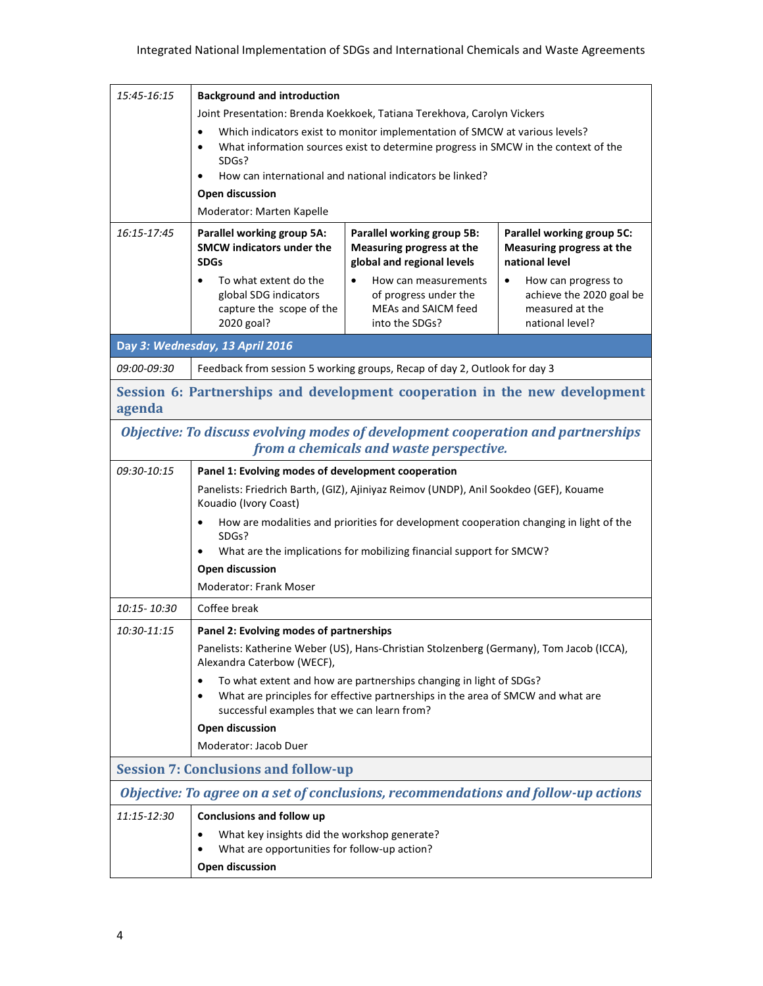| 15:45-16:15                                                                                                                 | <b>Background and introduction</b>                                                                                                                                                                   |                                                                                                                                                       |                                                                                                    |  |  |
|-----------------------------------------------------------------------------------------------------------------------------|------------------------------------------------------------------------------------------------------------------------------------------------------------------------------------------------------|-------------------------------------------------------------------------------------------------------------------------------------------------------|----------------------------------------------------------------------------------------------------|--|--|
|                                                                                                                             | Joint Presentation: Brenda Koekkoek, Tatiana Terekhova, Carolyn Vickers                                                                                                                              |                                                                                                                                                       |                                                                                                    |  |  |
|                                                                                                                             | Which indicators exist to monitor implementation of SMCW at various levels?<br>$\bullet$<br>What information sources exist to determine progress in SMCW in the context of the<br>$\bullet$<br>SDGs? |                                                                                                                                                       |                                                                                                    |  |  |
|                                                                                                                             | How can international and national indicators be linked?<br>$\bullet$                                                                                                                                |                                                                                                                                                       |                                                                                                    |  |  |
|                                                                                                                             | Open discussion                                                                                                                                                                                      |                                                                                                                                                       |                                                                                                    |  |  |
|                                                                                                                             | Moderator: Marten Kapelle                                                                                                                                                                            |                                                                                                                                                       |                                                                                                    |  |  |
| 16:15-17:45                                                                                                                 | Parallel working group 5A:<br><b>SMCW</b> indicators under the<br><b>SDGs</b>                                                                                                                        | Parallel working group 5B:<br>Measuring progress at the<br>global and regional levels                                                                 | Parallel working group 5C:<br>Measuring progress at the<br>national level                          |  |  |
|                                                                                                                             | To what extent do the<br>$\bullet$<br>global SDG indicators<br>capture the scope of the<br>2020 goal?                                                                                                | How can measurements<br>$\bullet$<br>of progress under the<br>MEAs and SAICM feed<br>into the SDGs?                                                   | How can progress to<br>$\bullet$<br>achieve the 2020 goal be<br>measured at the<br>national level? |  |  |
|                                                                                                                             | Day 3: Wednesday, 13 April 2016                                                                                                                                                                      |                                                                                                                                                       |                                                                                                    |  |  |
| 09:00-09:30                                                                                                                 |                                                                                                                                                                                                      | Feedback from session 5 working groups, Recap of day 2, Outlook for day 3                                                                             |                                                                                                    |  |  |
|                                                                                                                             | Session 6: Partnerships and development cooperation in the new development                                                                                                                           |                                                                                                                                                       |                                                                                                    |  |  |
| agenda                                                                                                                      |                                                                                                                                                                                                      |                                                                                                                                                       |                                                                                                    |  |  |
| Objective: To discuss evolving modes of development cooperation and partnerships<br>from a chemicals and waste perspective. |                                                                                                                                                                                                      |                                                                                                                                                       |                                                                                                    |  |  |
| 09:30-10:15                                                                                                                 | Panel 1: Evolving modes of development cooperation                                                                                                                                                   |                                                                                                                                                       |                                                                                                    |  |  |
|                                                                                                                             | Panelists: Friedrich Barth, (GIZ), Ajiniyaz Reimov (UNDP), Anil Sookdeo (GEF), Kouame<br>Kouadio (Ivory Coast)                                                                                       |                                                                                                                                                       |                                                                                                    |  |  |
|                                                                                                                             | How are modalities and priorities for development cooperation changing in light of the<br>$\bullet$<br>SDGs?                                                                                         |                                                                                                                                                       |                                                                                                    |  |  |
|                                                                                                                             | What are the implications for mobilizing financial support for SMCW?<br>$\bullet$                                                                                                                    |                                                                                                                                                       |                                                                                                    |  |  |
|                                                                                                                             | <b>Open discussion</b>                                                                                                                                                                               |                                                                                                                                                       |                                                                                                    |  |  |
|                                                                                                                             | <b>Moderator: Frank Moser</b>                                                                                                                                                                        |                                                                                                                                                       |                                                                                                    |  |  |
| 10:15 - 10:30                                                                                                               | Coffee break                                                                                                                                                                                         |                                                                                                                                                       |                                                                                                    |  |  |
| 10:30-11:15                                                                                                                 | Panel 2: Evolving modes of partnerships<br>Panelists: Katherine Weber (US), Hans-Christian Stolzenberg (Germany), Tom Jacob (ICCA),<br>Alexandra Caterbow (WECF),                                    |                                                                                                                                                       |                                                                                                    |  |  |
|                                                                                                                             | $\bullet$<br>٠<br>successful examples that we can learn from?                                                                                                                                        | To what extent and how are partnerships changing in light of SDGs?<br>What are principles for effective partnerships in the area of SMCW and what are |                                                                                                    |  |  |
|                                                                                                                             | <b>Open discussion</b>                                                                                                                                                                               |                                                                                                                                                       |                                                                                                    |  |  |
|                                                                                                                             | Moderator: Jacob Duer                                                                                                                                                                                |                                                                                                                                                       |                                                                                                    |  |  |
|                                                                                                                             | <b>Session 7: Conclusions and follow-up</b>                                                                                                                                                          |                                                                                                                                                       |                                                                                                    |  |  |
|                                                                                                                             | Objective: To agree on a set of conclusions, recommendations and follow-up actions                                                                                                                   |                                                                                                                                                       |                                                                                                    |  |  |
| 11:15-12:30                                                                                                                 | <b>Conclusions and follow up</b>                                                                                                                                                                     |                                                                                                                                                       |                                                                                                    |  |  |
|                                                                                                                             | What key insights did the workshop generate?<br>$\bullet$<br>What are opportunities for follow-up action?                                                                                            |                                                                                                                                                       |                                                                                                    |  |  |
|                                                                                                                             | $\bullet$<br><b>Open discussion</b>                                                                                                                                                                  |                                                                                                                                                       |                                                                                                    |  |  |
|                                                                                                                             |                                                                                                                                                                                                      |                                                                                                                                                       |                                                                                                    |  |  |